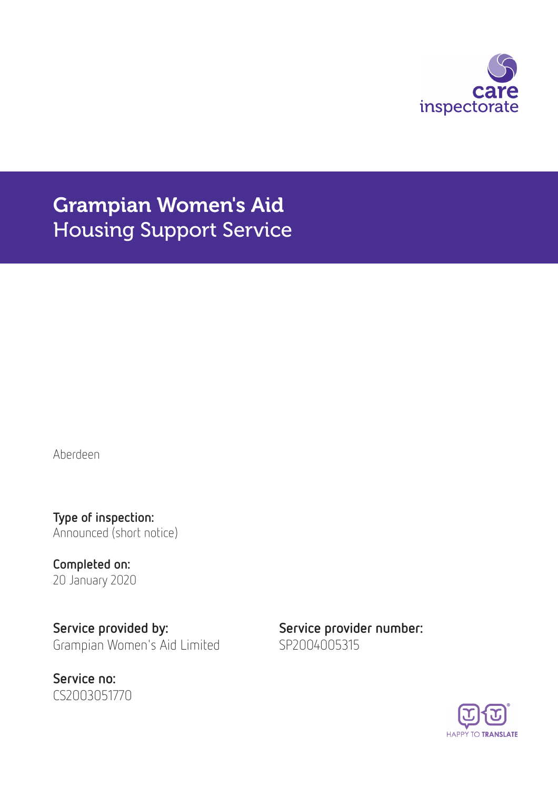

# Grampian Women's Aid Housing Support Service

Aberdeen

Type of inspection: Announced (short notice)

Completed on: 20 January 2020

Service provided by: Service provider number: Grampian Women's Aid Limited SP2004005315

Service no: CS2003051770

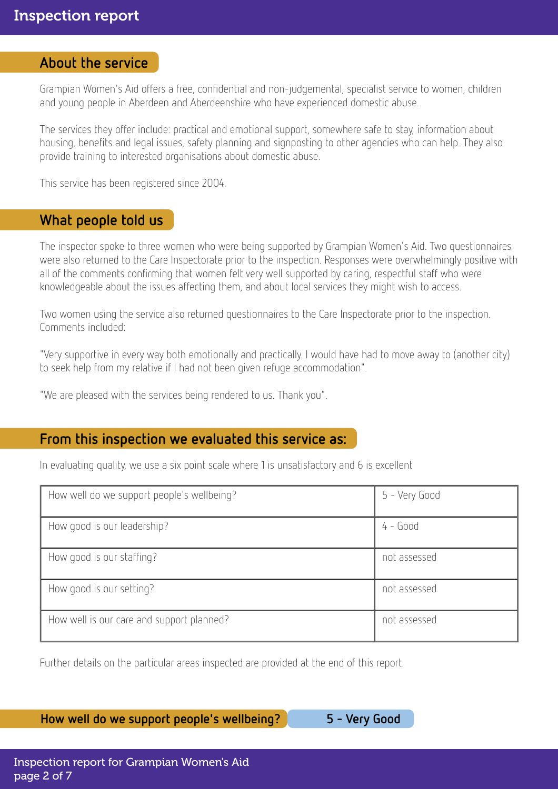### About the service

Grampian Women's Aid offers a free, confidential and non-judgemental, specialist service to women, children and young people in Aberdeen and Aberdeenshire who have experienced domestic abuse.

The services they offer include: practical and emotional support, somewhere safe to stay, information about housing, benefits and legal issues, safety planning and signposting to other agencies who can help. They also provide training to interested organisations about domestic abuse.

This service has been registered since 2004.

### What people told us

The inspector spoke to three women who were being supported by Grampian Women's Aid. Two questionnaires were also returned to the Care Inspectorate prior to the inspection. Responses were overwhelmingly positive with all of the comments confirming that women felt very well supported by caring, respectful staff who were knowledgeable about the issues affecting them, and about local services they might wish to access.

Two women using the service also returned questionnaires to the Care Inspectorate prior to the inspection. Comments included:

"Very supportive in every way both emotionally and practically. I would have had to move away to (another city) to seek help from my relative if I had not been given refuge accommodation".

"We are pleased with the services being rendered to us. Thank you".

### From this inspection we evaluated this service as:

In evaluating quality, we use a six point scale where 1 is unsatisfactory and 6 is excellent

| How well do we support people's wellbeing? | 5 - Very Good |
|--------------------------------------------|---------------|
| How good is our leadership?                | $4 - Good$    |
| How good is our staffing?                  | not assessed  |
| How good is our setting?                   | not assessed  |
| How well is our care and support planned?  | not assessed  |

Further details on the particular areas inspected are provided at the end of this report.

How well do we support people's wellbeing? 5 - Very Good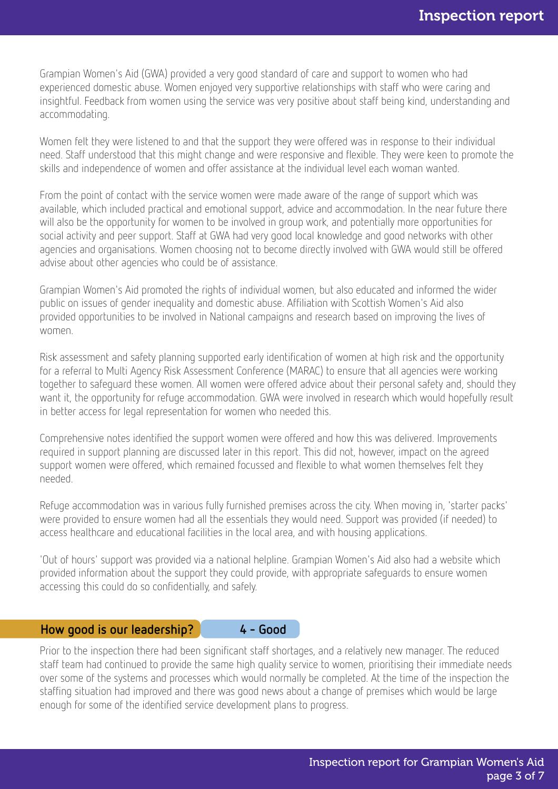Grampian Women's Aid (GWA) provided a very good standard of care and support to women who had experienced domestic abuse. Women enjoyed very supportive relationships with staff who were caring and insightful. Feedback from women using the service was very positive about staff being kind, understanding and accommodating.

Women felt they were listened to and that the support they were offered was in response to their individual need. Staff understood that this might change and were responsive and flexible. They were keen to promote the skills and independence of women and offer assistance at the individual level each woman wanted.

From the point of contact with the service women were made aware of the range of support which was available, which included practical and emotional support, advice and accommodation. In the near future there will also be the opportunity for women to be involved in group work, and potentially more opportunities for social activity and peer support. Staff at GWA had very good local knowledge and good networks with other agencies and organisations. Women choosing not to become directly involved with GWA would still be offered advise about other agencies who could be of assistance.

Grampian Women's Aid promoted the rights of individual women, but also educated and informed the wider public on issues of gender inequality and domestic abuse. Affiliation with Scottish Women's Aid also provided opportunities to be involved in National campaigns and research based on improving the lives of women.

Risk assessment and safety planning supported early identification of women at high risk and the opportunity for a referral to Multi Agency Risk Assessment Conference (MARAC) to ensure that all agencies were working together to safeguard these women. All women were offered advice about their personal safety and, should they want it, the opportunity for refuge accommodation. GWA were involved in research which would hopefully result in better access for legal representation for women who needed this.

Comprehensive notes identified the support women were offered and how this was delivered. Improvements required in support planning are discussed later in this report. This did not, however, impact on the agreed support women were offered, which remained focussed and flexible to what women themselves felt they needed.

Refuge accommodation was in various fully furnished premises across the city. When moving in, 'starter packs' were provided to ensure women had all the essentials they would need. Support was provided (if needed) to access healthcare and educational facilities in the local area, and with housing applications.

'Out of hours' support was provided via a national helpline. Grampian Women's Aid also had a website which provided information about the support they could provide, with appropriate safeguards to ensure women accessing this could do so confidentially, and safely.

#### How good is our leadership? 4 - Good

Prior to the inspection there had been significant staff shortages, and a relatively new manager. The reduced staff team had continued to provide the same high quality service to women, prioritising their immediate needs over some of the systems and processes which would normally be completed. At the time of the inspection the staffing situation had improved and there was good news about a change of premises which would be large enough for some of the identified service development plans to progress.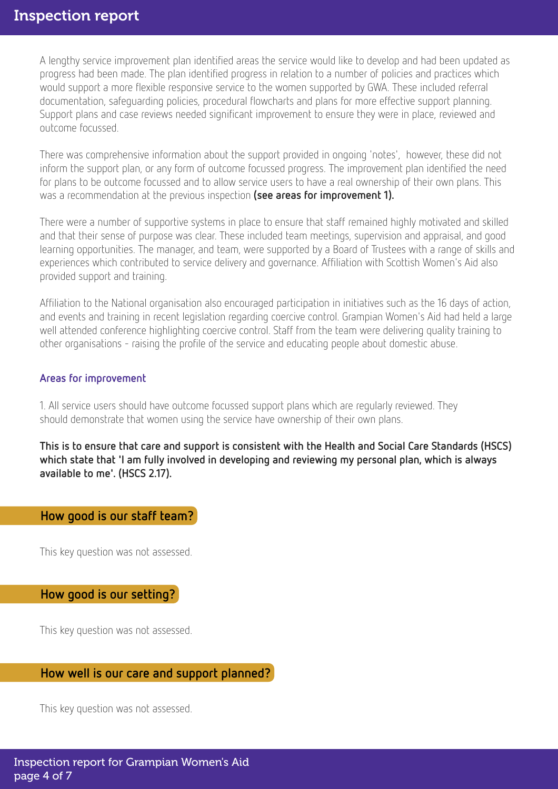### Inspection report

A lengthy service improvement plan identified areas the service would like to develop and had been updated as progress had been made. The plan identified progress in relation to a number of policies and practices which would support a more flexible responsive service to the women supported by GWA. These included referral documentation, safeguarding policies, procedural flowcharts and plans for more effective support planning. Support plans and case reviews needed significant improvement to ensure they were in place, reviewed and outcome focussed.

There was comprehensive information about the support provided in ongoing 'notes', however, these did not inform the support plan, or any form of outcome focussed progress. The improvement plan identified the need for plans to be outcome focussed and to allow service users to have a real ownership of their own plans. This was a recommendation at the previous inspection (see areas for improvement 1).

There were a number of supportive systems in place to ensure that staff remained highly motivated and skilled and that their sense of purpose was clear. These included team meetings, supervision and appraisal, and good learning opportunities. The manager, and team, were supported by a Board of Trustees with a range of skills and experiences which contributed to service delivery and governance. Affiliation with Scottish Women's Aid also provided support and training.

Affiliation to the National organisation also encouraged participation in initiatives such as the 16 days of action, and events and training in recent legislation regarding coercive control. Grampian Women's Aid had held a large well attended conference highlighting coercive control. Staff from the team were delivering quality training to other organisations - raising the profile of the service and educating people about domestic abuse.

#### Areas for improvement

1. All service users should have outcome focussed support plans which are regularly reviewed. They should demonstrate that women using the service have ownership of their own plans.

This is to ensure that care and support is consistent with the Health and Social Care Standards (HSCS) which state that 'I am fully involved in developing and reviewing my personal plan, which is always available to me'. (HSCS 2.17).

### How good is our staff team?

This key question was not assessed.

#### How good is our setting?

This key question was not assessed.

# How well is our care and support planned?

This key question was not assessed.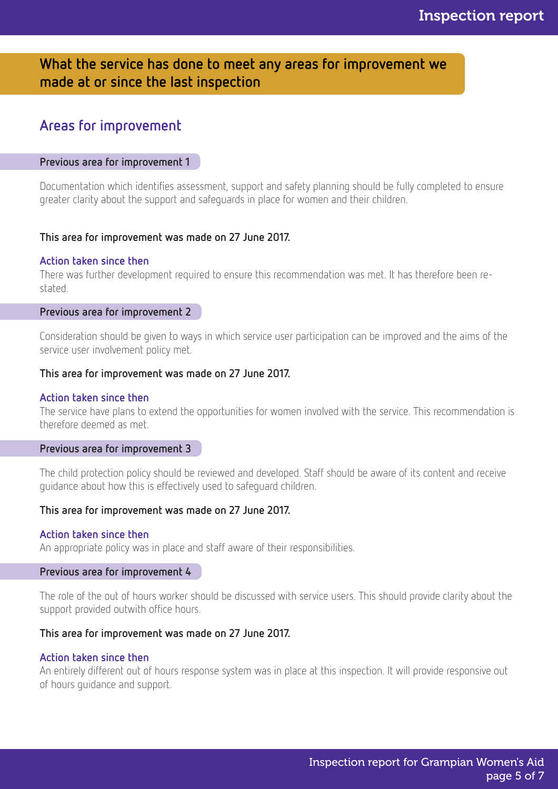## What the service has done to meet any areas for improvement we made at or since the last inspection

# Areas for improvement

#### Previous area for improvement 1

Documentation which identifies assessment, support and safety planning should be fully completed to ensure greater clarity about the support and safeguards in place for women and their children.

#### This area for improvement was made on 27 June 2017.

#### Action taken since then

There was further development required to ensure this recommendation was met. It has therefore been restated.

#### Previous area for improvement 2

Consideration should be given to ways in which service user participation can be improved and the aims of the service user involvement policy met.

#### This area for improvement was made on 27 June 2017.

#### Action taken since then

The service have plans to extend the opportunities for women involved with the service. This recommendation is therefore deemed as met.

#### Previous area for improvement 3

The child protection policy should be reviewed and developed. Staff should be aware of its content and receive guidance about how this is effectively used to safeguard children.

#### This area for improvement was made on 27 June 2017.

#### Action taken since then

An appropriate policy was in place and staff aware of their responsibilities.

#### Previous area for improvement 4

The role of the out of hours worker should be discussed with service users. This should provide clarity about the support provided outwith office hours.

#### This area for improvement was made on 27 June 2017.

#### Action taken since then

An entirely different out of hours response system was in place at this inspection. It will provide responsive out of hours guidance and support.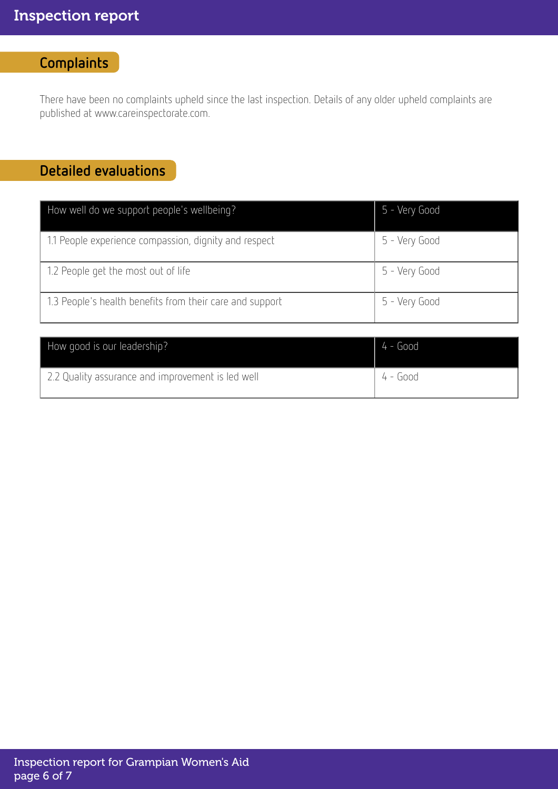# **Complaints**

There have been no complaints upheld since the last inspection. Details of any older upheld complaints are published at www.careinspectorate.com.

# Detailed evaluations

| How well do we support people's wellbeing?               | 5 - Very Good |
|----------------------------------------------------------|---------------|
| 1.1 People experience compassion, dignity and respect    | 5 - Very Good |
| 1.2 People get the most out of life                      | 5 - Very Good |
| 1.3 People's health benefits from their care and support | 5 - Very Good |

| How good is our leadership?                       | $4 - Good$ |
|---------------------------------------------------|------------|
| 2.2 Quality assurance and improvement is led well | 4 - Good   |